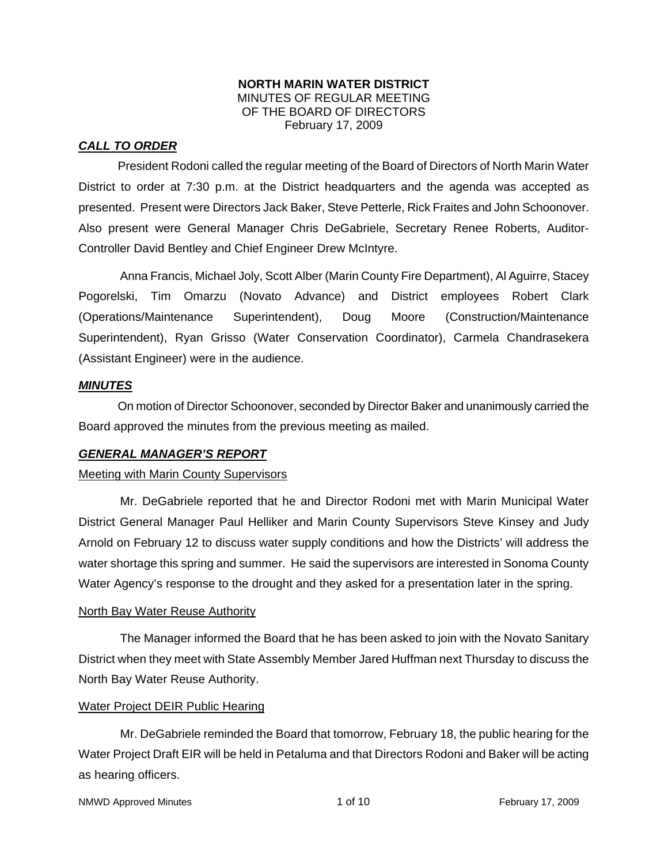#### **NORTH MARIN WATER DISTRICT**  MINUTES OF REGULAR MEETING OF THE BOARD OF DIRECTORS February 17, 2009

# *CALL TO ORDER*

President Rodoni called the regular meeting of the Board of Directors of North Marin Water District to order at 7:30 p.m. at the District headquarters and the agenda was accepted as presented. Present were Directors Jack Baker, Steve Petterle, Rick Fraites and John Schoonover. Also present were General Manager Chris DeGabriele, Secretary Renee Roberts, Auditor-Controller David Bentley and Chief Engineer Drew McIntyre.

Anna Francis, Michael Joly, Scott Alber (Marin County Fire Department), Al Aguirre, Stacey Pogorelski, Tim Omarzu (Novato Advance) and District employees Robert Clark (Operations/Maintenance Superintendent), Doug Moore (Construction/Maintenance Superintendent), Ryan Grisso (Water Conservation Coordinator), Carmela Chandrasekera (Assistant Engineer) were in the audience.

## *MINUTES*

 On motion of Director Schoonover, seconded by Director Baker and unanimously carried the Board approved the minutes from the previous meeting as mailed.

## *GENERAL MANAGER'S REPORT*

#### Meeting with Marin County Supervisors

Mr. DeGabriele reported that he and Director Rodoni met with Marin Municipal Water District General Manager Paul Helliker and Marin County Supervisors Steve Kinsey and Judy Arnold on February 12 to discuss water supply conditions and how the Districts' will address the water shortage this spring and summer. He said the supervisors are interested in Sonoma County Water Agency's response to the drought and they asked for a presentation later in the spring.

#### North Bay Water Reuse Authority

The Manager informed the Board that he has been asked to join with the Novato Sanitary District when they meet with State Assembly Member Jared Huffman next Thursday to discuss the North Bay Water Reuse Authority.

#### Water Project DEIR Public Hearing

Mr. DeGabriele reminded the Board that tomorrow, February 18, the public hearing for the Water Project Draft EIR will be held in Petaluma and that Directors Rodoni and Baker will be acting as hearing officers.

```
NMWD Approved Minutes and the control of 10 and 1 of 10 February 17, 2009
```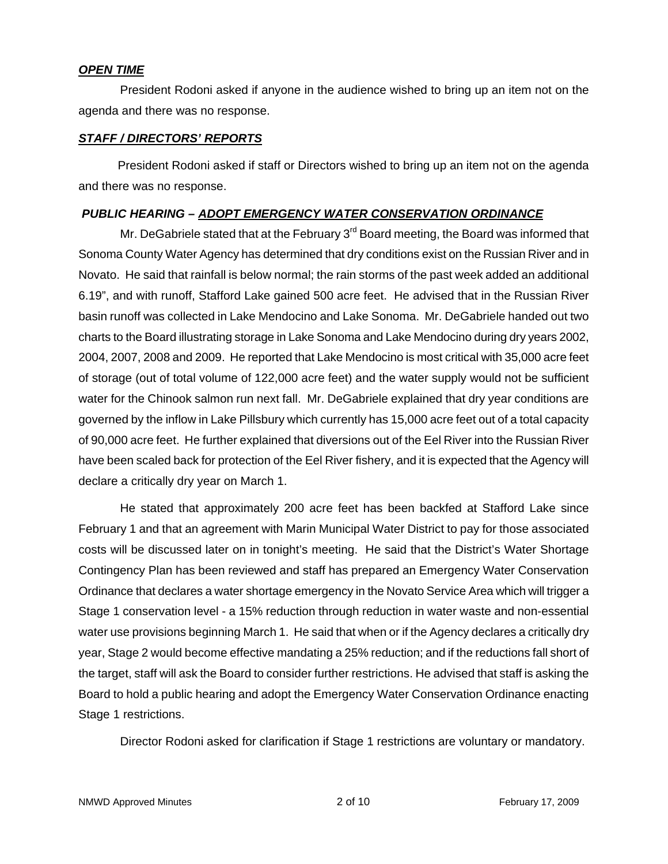#### *OPEN TIME*

President Rodoni asked if anyone in the audience wished to bring up an item not on the agenda and there was no response.

## *STAFF / DIRECTORS' REPORTS*

 President Rodoni asked if staff or Directors wished to bring up an item not on the agenda and there was no response.

# *PUBLIC HEARING – ADOPT EMERGENCY WATER CONSERVATION ORDINANCE*

Mr. DeGabriele stated that at the February  $3<sup>rd</sup>$  Board meeting, the Board was informed that Sonoma County Water Agency has determined that dry conditions exist on the Russian River and in Novato. He said that rainfall is below normal; the rain storms of the past week added an additional 6.19", and with runoff, Stafford Lake gained 500 acre feet. He advised that in the Russian River basin runoff was collected in Lake Mendocino and Lake Sonoma. Mr. DeGabriele handed out two charts to the Board illustrating storage in Lake Sonoma and Lake Mendocino during dry years 2002, 2004, 2007, 2008 and 2009. He reported that Lake Mendocino is most critical with 35,000 acre feet of storage (out of total volume of 122,000 acre feet) and the water supply would not be sufficient water for the Chinook salmon run next fall. Mr. DeGabriele explained that dry year conditions are governed by the inflow in Lake Pillsbury which currently has 15,000 acre feet out of a total capacity of 90,000 acre feet. He further explained that diversions out of the Eel River into the Russian River have been scaled back for protection of the Eel River fishery, and it is expected that the Agency will declare a critically dry year on March 1.

He stated that approximately 200 acre feet has been backfed at Stafford Lake since February 1 and that an agreement with Marin Municipal Water District to pay for those associated costs will be discussed later on in tonight's meeting. He said that the District's Water Shortage Contingency Plan has been reviewed and staff has prepared an Emergency Water Conservation Ordinance that declares a water shortage emergency in the Novato Service Area which will trigger a Stage 1 conservation level - a 15% reduction through reduction in water waste and non-essential water use provisions beginning March 1. He said that when or if the Agency declares a critically dry year, Stage 2 would become effective mandating a 25% reduction; and if the reductions fall short of the target, staff will ask the Board to consider further restrictions. He advised that staff is asking the Board to hold a public hearing and adopt the Emergency Water Conservation Ordinance enacting Stage 1 restrictions.

Director Rodoni asked for clarification if Stage 1 restrictions are voluntary or mandatory.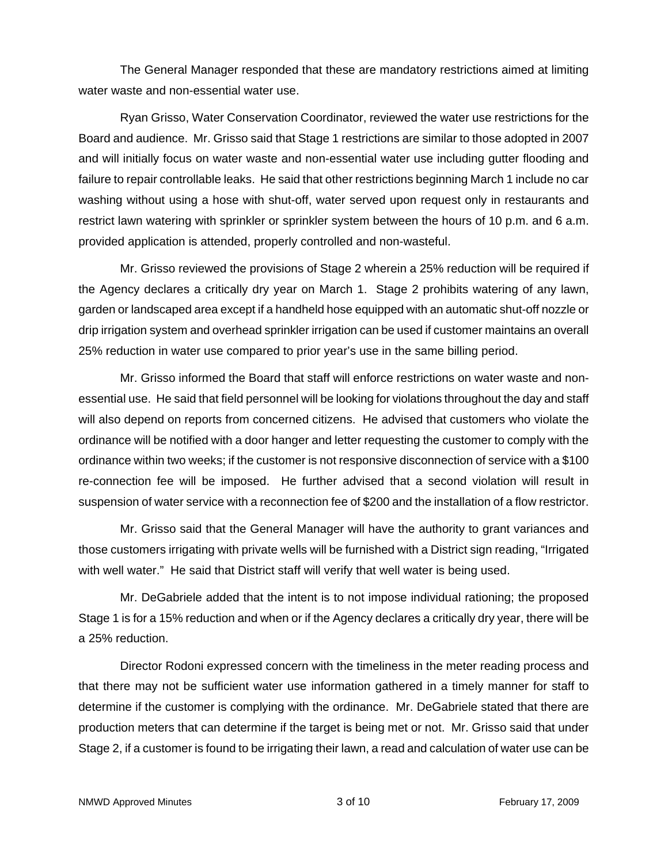The General Manager responded that these are mandatory restrictions aimed at limiting water waste and non-essential water use.

Ryan Grisso, Water Conservation Coordinator, reviewed the water use restrictions for the Board and audience. Mr. Grisso said that Stage 1 restrictions are similar to those adopted in 2007 and will initially focus on water waste and non-essential water use including gutter flooding and failure to repair controllable leaks. He said that other restrictions beginning March 1 include no car washing without using a hose with shut-off, water served upon request only in restaurants and restrict lawn watering with sprinkler or sprinkler system between the hours of 10 p.m. and 6 a.m. provided application is attended, properly controlled and non-wasteful.

Mr. Grisso reviewed the provisions of Stage 2 wherein a 25% reduction will be required if the Agency declares a critically dry year on March 1. Stage 2 prohibits watering of any lawn, garden or landscaped area except if a handheld hose equipped with an automatic shut-off nozzle or drip irrigation system and overhead sprinkler irrigation can be used if customer maintains an overall 25% reduction in water use compared to prior year's use in the same billing period.

Mr. Grisso informed the Board that staff will enforce restrictions on water waste and nonessential use. He said that field personnel will be looking for violations throughout the day and staff will also depend on reports from concerned citizens. He advised that customers who violate the ordinance will be notified with a door hanger and letter requesting the customer to comply with the ordinance within two weeks; if the customer is not responsive disconnection of service with a \$100 re-connection fee will be imposed. He further advised that a second violation will result in suspension of water service with a reconnection fee of \$200 and the installation of a flow restrictor.

Mr. Grisso said that the General Manager will have the authority to grant variances and those customers irrigating with private wells will be furnished with a District sign reading, "Irrigated with well water." He said that District staff will verify that well water is being used.

Mr. DeGabriele added that the intent is to not impose individual rationing; the proposed Stage 1 is for a 15% reduction and when or if the Agency declares a critically dry year, there will be a 25% reduction.

Director Rodoni expressed concern with the timeliness in the meter reading process and that there may not be sufficient water use information gathered in a timely manner for staff to determine if the customer is complying with the ordinance. Mr. DeGabriele stated that there are production meters that can determine if the target is being met or not. Mr. Grisso said that under Stage 2, if a customer is found to be irrigating their lawn, a read and calculation of water use can be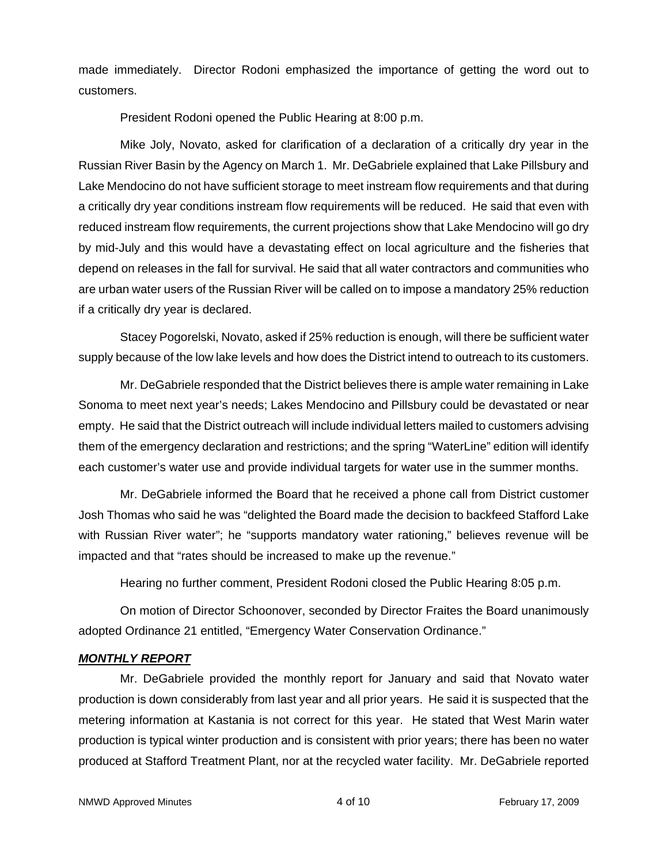made immediately. Director Rodoni emphasized the importance of getting the word out to customers.

President Rodoni opened the Public Hearing at 8:00 p.m.

Mike Joly, Novato, asked for clarification of a declaration of a critically dry year in the Russian River Basin by the Agency on March 1. Mr. DeGabriele explained that Lake Pillsbury and Lake Mendocino do not have sufficient storage to meet instream flow requirements and that during a critically dry year conditions instream flow requirements will be reduced. He said that even with reduced instream flow requirements, the current projections show that Lake Mendocino will go dry by mid-July and this would have a devastating effect on local agriculture and the fisheries that depend on releases in the fall for survival. He said that all water contractors and communities who are urban water users of the Russian River will be called on to impose a mandatory 25% reduction if a critically dry year is declared.

Stacey Pogorelski, Novato, asked if 25% reduction is enough, will there be sufficient water supply because of the low lake levels and how does the District intend to outreach to its customers.

Mr. DeGabriele responded that the District believes there is ample water remaining in Lake Sonoma to meet next year's needs; Lakes Mendocino and Pillsbury could be devastated or near empty. He said that the District outreach will include individual letters mailed to customers advising them of the emergency declaration and restrictions; and the spring "WaterLine" edition will identify each customer's water use and provide individual targets for water use in the summer months.

Mr. DeGabriele informed the Board that he received a phone call from District customer Josh Thomas who said he was "delighted the Board made the decision to backfeed Stafford Lake with Russian River water"; he "supports mandatory water rationing," believes revenue will be impacted and that "rates should be increased to make up the revenue."

Hearing no further comment, President Rodoni closed the Public Hearing 8:05 p.m.

On motion of Director Schoonover, seconded by Director Fraites the Board unanimously adopted Ordinance 21 entitled, "Emergency Water Conservation Ordinance."

## *MONTHLY REPORT*

Mr. DeGabriele provided the monthly report for January and said that Novato water production is down considerably from last year and all prior years. He said it is suspected that the metering information at Kastania is not correct for this year. He stated that West Marin water production is typical winter production and is consistent with prior years; there has been no water produced at Stafford Treatment Plant, nor at the recycled water facility. Mr. DeGabriele reported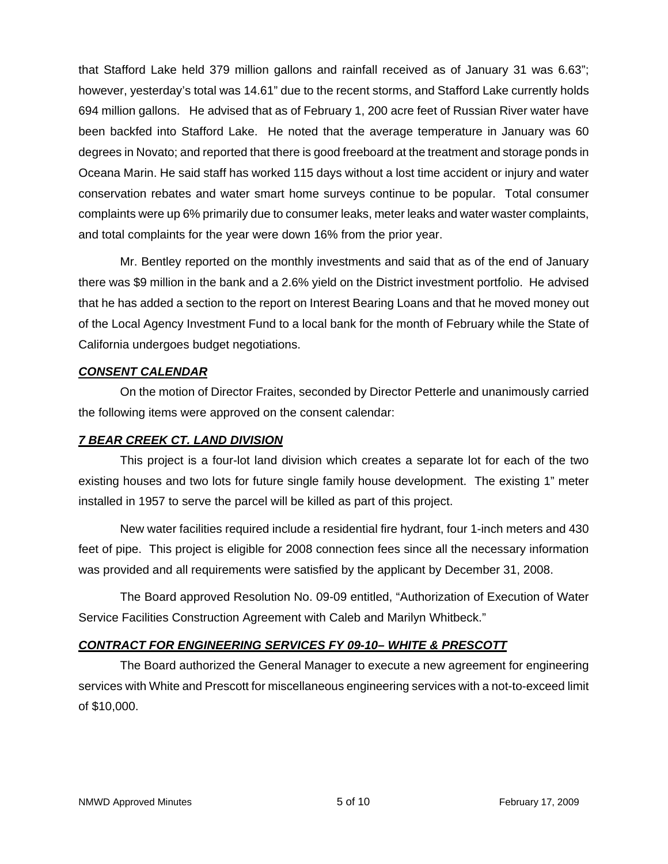that Stafford Lake held 379 million gallons and rainfall received as of January 31 was 6.63"; however, yesterday's total was 14.61" due to the recent storms, and Stafford Lake currently holds 694 million gallons. He advised that as of February 1, 200 acre feet of Russian River water have been backfed into Stafford Lake. He noted that the average temperature in January was 60 degrees in Novato; and reported that there is good freeboard at the treatment and storage ponds in Oceana Marin. He said staff has worked 115 days without a lost time accident or injury and water conservation rebates and water smart home surveys continue to be popular. Total consumer complaints were up 6% primarily due to consumer leaks, meter leaks and water waster complaints, and total complaints for the year were down 16% from the prior year.

Mr. Bentley reported on the monthly investments and said that as of the end of January there was \$9 million in the bank and a 2.6% yield on the District investment portfolio. He advised that he has added a section to the report on Interest Bearing Loans and that he moved money out of the Local Agency Investment Fund to a local bank for the month of February while the State of California undergoes budget negotiations.

# *CONSENT CALENDAR*

On the motion of Director Fraites, seconded by Director Petterle and unanimously carried the following items were approved on the consent calendar:

## *7 BEAR CREEK CT. LAND DIVISION*

This project is a four-lot land division which creates a separate lot for each of the two existing houses and two lots for future single family house development. The existing 1" meter installed in 1957 to serve the parcel will be killed as part of this project.

New water facilities required include a residential fire hydrant, four 1-inch meters and 430 feet of pipe. This project is eligible for 2008 connection fees since all the necessary information was provided and all requirements were satisfied by the applicant by December 31, 2008.

The Board approved Resolution No. 09-09 entitled, "Authorization of Execution of Water Service Facilities Construction Agreement with Caleb and Marilyn Whitbeck."

# *CONTRACT FOR ENGINEERING SERVICES FY 09-10– WHITE & PRESCOTT*

The Board authorized the General Manager to execute a new agreement for engineering services with White and Prescott for miscellaneous engineering services with a not-to-exceed limit of \$10,000.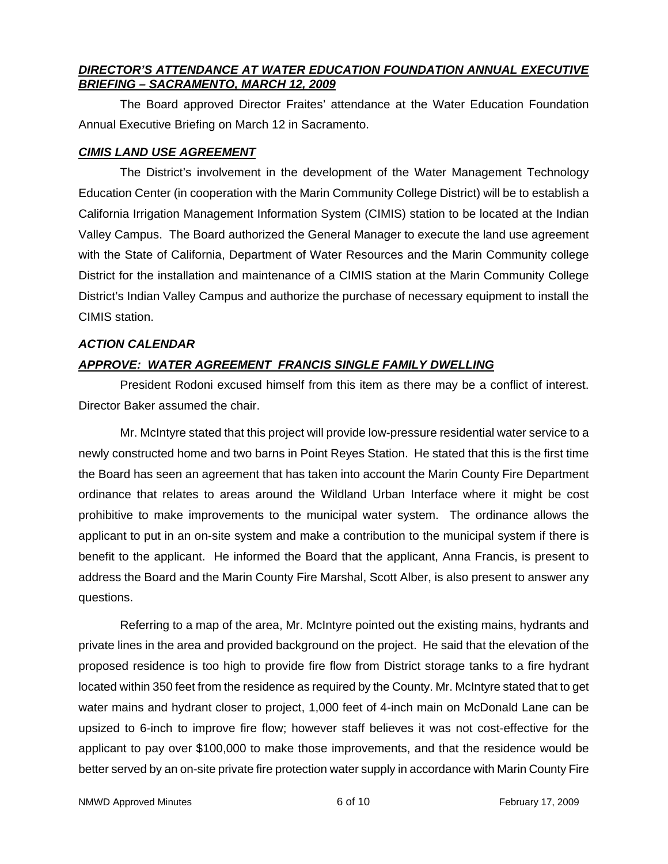# *DIRECTOR'S ATTENDANCE AT WATER EDUCATION FOUNDATION ANNUAL EXECUTIVE BRIEFING – SACRAMENTO, MARCH 12, 2009*

The Board approved Director Fraites' attendance at the Water Education Foundation Annual Executive Briefing on March 12 in Sacramento.

# *CIMIS LAND USE AGREEMENT*

The District's involvement in the development of the Water Management Technology Education Center (in cooperation with the Marin Community College District) will be to establish a California Irrigation Management Information System (CIMIS) station to be located at the Indian Valley Campus. The Board authorized the General Manager to execute the land use agreement with the State of California, Department of Water Resources and the Marin Community college District for the installation and maintenance of a CIMIS station at the Marin Community College District's Indian Valley Campus and authorize the purchase of necessary equipment to install the CIMIS station.

# *ACTION CALENDAR*

# *APPROVE: WATER AGREEMENT FRANCIS SINGLE FAMILY DWELLING*

President Rodoni excused himself from this item as there may be a conflict of interest. Director Baker assumed the chair.

Mr. McIntyre stated that this project will provide low-pressure residential water service to a newly constructed home and two barns in Point Reyes Station. He stated that this is the first time the Board has seen an agreement that has taken into account the Marin County Fire Department ordinance that relates to areas around the Wildland Urban Interface where it might be cost prohibitive to make improvements to the municipal water system. The ordinance allows the applicant to put in an on-site system and make a contribution to the municipal system if there is benefit to the applicant. He informed the Board that the applicant, Anna Francis, is present to address the Board and the Marin County Fire Marshal, Scott Alber, is also present to answer any questions.

Referring to a map of the area, Mr. McIntyre pointed out the existing mains, hydrants and private lines in the area and provided background on the project. He said that the elevation of the proposed residence is too high to provide fire flow from District storage tanks to a fire hydrant located within 350 feet from the residence as required by the County. Mr. McIntyre stated that to get water mains and hydrant closer to project, 1,000 feet of 4-inch main on McDonald Lane can be upsized to 6-inch to improve fire flow; however staff believes it was not cost-effective for the applicant to pay over \$100,000 to make those improvements, and that the residence would be better served by an on-site private fire protection water supply in accordance with Marin County Fire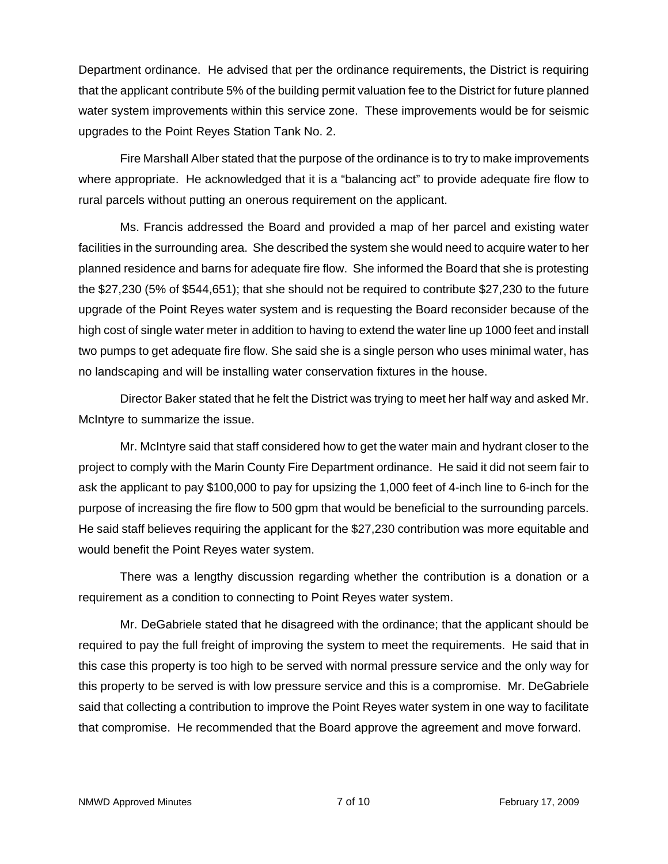Department ordinance. He advised that per the ordinance requirements, the District is requiring that the applicant contribute 5% of the building permit valuation fee to the District for future planned water system improvements within this service zone. These improvements would be for seismic upgrades to the Point Reyes Station Tank No. 2.

Fire Marshall Alber stated that the purpose of the ordinance is to try to make improvements where appropriate. He acknowledged that it is a "balancing act" to provide adequate fire flow to rural parcels without putting an onerous requirement on the applicant.

Ms. Francis addressed the Board and provided a map of her parcel and existing water facilities in the surrounding area. She described the system she would need to acquire water to her planned residence and barns for adequate fire flow. She informed the Board that she is protesting the \$27,230 (5% of \$544,651); that she should not be required to contribute \$27,230 to the future upgrade of the Point Reyes water system and is requesting the Board reconsider because of the high cost of single water meter in addition to having to extend the water line up 1000 feet and install two pumps to get adequate fire flow. She said she is a single person who uses minimal water, has no landscaping and will be installing water conservation fixtures in the house.

Director Baker stated that he felt the District was trying to meet her half way and asked Mr. McIntyre to summarize the issue.

Mr. McIntyre said that staff considered how to get the water main and hydrant closer to the project to comply with the Marin County Fire Department ordinance. He said it did not seem fair to ask the applicant to pay \$100,000 to pay for upsizing the 1,000 feet of 4-inch line to 6-inch for the purpose of increasing the fire flow to 500 gpm that would be beneficial to the surrounding parcels. He said staff believes requiring the applicant for the \$27,230 contribution was more equitable and would benefit the Point Reyes water system.

There was a lengthy discussion regarding whether the contribution is a donation or a requirement as a condition to connecting to Point Reyes water system.

Mr. DeGabriele stated that he disagreed with the ordinance; that the applicant should be required to pay the full freight of improving the system to meet the requirements. He said that in this case this property is too high to be served with normal pressure service and the only way for this property to be served is with low pressure service and this is a compromise. Mr. DeGabriele said that collecting a contribution to improve the Point Reyes water system in one way to facilitate that compromise. He recommended that the Board approve the agreement and move forward.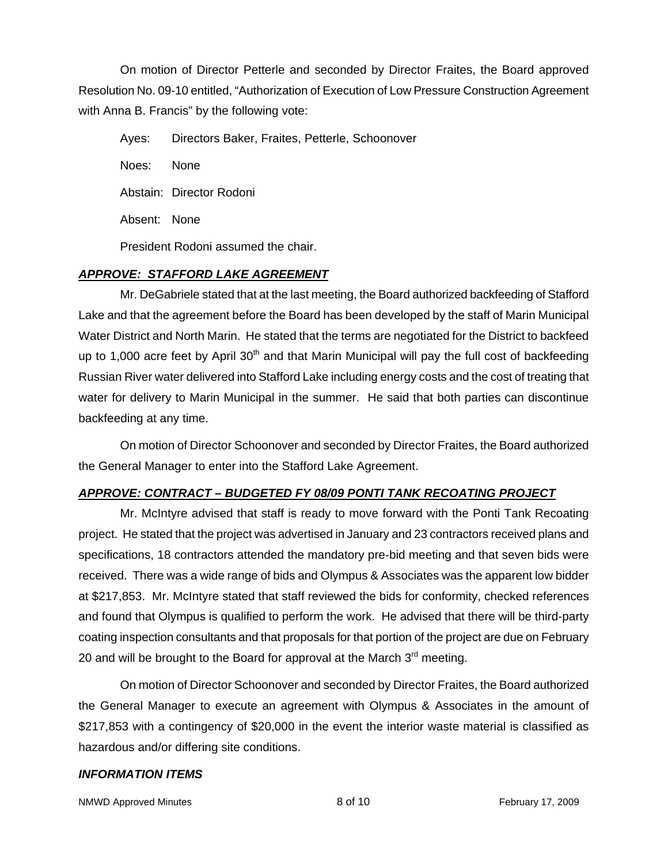On motion of Director Petterle and seconded by Director Fraites, the Board approved Resolution No. 09-10 entitled, "Authorization of Execution of Low Pressure Construction Agreement with Anna B. Francis" by the following vote:

Ayes: Directors Baker, Fraites, Petterle, Schoonover Noes: None Abstain: Director Rodoni Absent: None President Rodoni assumed the chair.

# *APPROVE: STAFFORD LAKE AGREEMENT*

Mr. DeGabriele stated that at the last meeting, the Board authorized backfeeding of Stafford Lake and that the agreement before the Board has been developed by the staff of Marin Municipal Water District and North Marin. He stated that the terms are negotiated for the District to backfeed up to 1,000 acre feet by April  $30<sup>th</sup>$  and that Marin Municipal will pay the full cost of backfeeding Russian River water delivered into Stafford Lake including energy costs and the cost of treating that water for delivery to Marin Municipal in the summer. He said that both parties can discontinue backfeeding at any time.

On motion of Director Schoonover and seconded by Director Fraites, the Board authorized the General Manager to enter into the Stafford Lake Agreement.

## *APPROVE: CONTRACT – BUDGETED FY 08/09 PONTI TANK RECOATING PROJECT*

Mr. McIntyre advised that staff is ready to move forward with the Ponti Tank Recoating project. He stated that the project was advertised in January and 23 contractors received plans and specifications, 18 contractors attended the mandatory pre-bid meeting and that seven bids were received. There was a wide range of bids and Olympus & Associates was the apparent low bidder at \$217,853. Mr. McIntyre stated that staff reviewed the bids for conformity, checked references and found that Olympus is qualified to perform the work. He advised that there will be third-party coating inspection consultants and that proposals for that portion of the project are due on February 20 and will be brought to the Board for approval at the March  $3<sup>rd</sup>$  meeting.

On motion of Director Schoonover and seconded by Director Fraites, the Board authorized the General Manager to execute an agreement with Olympus & Associates in the amount of \$217,853 with a contingency of \$20,000 in the event the interior waste material is classified as hazardous and/or differing site conditions.

## *INFORMATION ITEMS*

NMWD Approved Minutes **8 of 10** and 10 February 17, 2009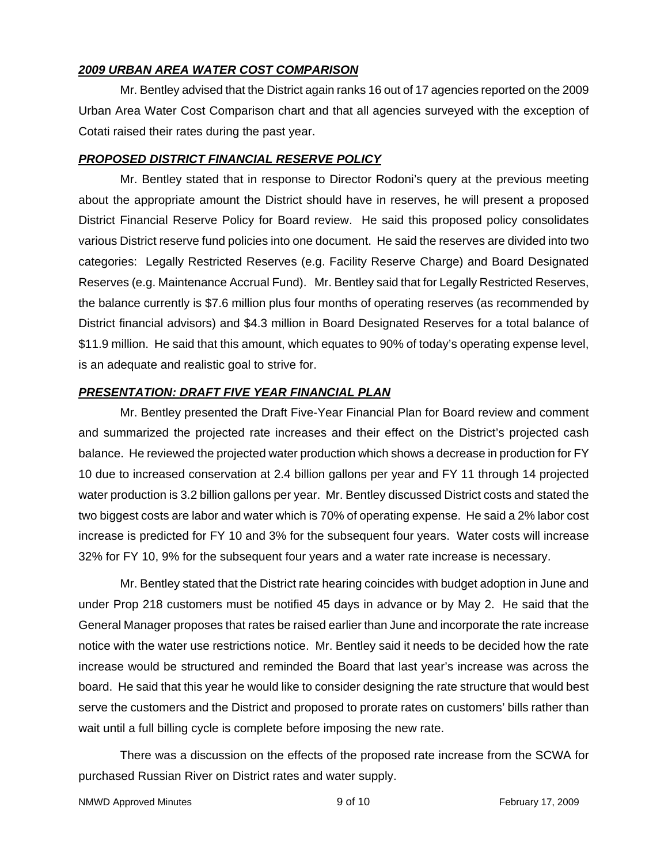#### *2009 URBAN AREA WATER COST COMPARISON*

Mr. Bentley advised that the District again ranks 16 out of 17 agencies reported on the 2009 Urban Area Water Cost Comparison chart and that all agencies surveyed with the exception of Cotati raised their rates during the past year.

#### *PROPOSED DISTRICT FINANCIAL RESERVE POLICY*

Mr. Bentley stated that in response to Director Rodoni's query at the previous meeting about the appropriate amount the District should have in reserves, he will present a proposed District Financial Reserve Policy for Board review. He said this proposed policy consolidates various District reserve fund policies into one document. He said the reserves are divided into two categories: Legally Restricted Reserves (e.g. Facility Reserve Charge) and Board Designated Reserves (e.g. Maintenance Accrual Fund). Mr. Bentley said that for Legally Restricted Reserves, the balance currently is \$7.6 million plus four months of operating reserves (as recommended by District financial advisors) and \$4.3 million in Board Designated Reserves for a total balance of \$11.9 million. He said that this amount, which equates to 90% of today's operating expense level, is an adequate and realistic goal to strive for.

## *PRESENTATION: DRAFT FIVE YEAR FINANCIAL PLAN*

Mr. Bentley presented the Draft Five-Year Financial Plan for Board review and comment and summarized the projected rate increases and their effect on the District's projected cash balance. He reviewed the projected water production which shows a decrease in production for FY 10 due to increased conservation at 2.4 billion gallons per year and FY 11 through 14 projected water production is 3.2 billion gallons per year. Mr. Bentley discussed District costs and stated the two biggest costs are labor and water which is 70% of operating expense. He said a 2% labor cost increase is predicted for FY 10 and 3% for the subsequent four years. Water costs will increase 32% for FY 10, 9% for the subsequent four years and a water rate increase is necessary.

Mr. Bentley stated that the District rate hearing coincides with budget adoption in June and under Prop 218 customers must be notified 45 days in advance or by May 2. He said that the General Manager proposes that rates be raised earlier than June and incorporate the rate increase notice with the water use restrictions notice. Mr. Bentley said it needs to be decided how the rate increase would be structured and reminded the Board that last year's increase was across the board. He said that this year he would like to consider designing the rate structure that would best serve the customers and the District and proposed to prorate rates on customers' bills rather than wait until a full billing cycle is complete before imposing the new rate.

There was a discussion on the effects of the proposed rate increase from the SCWA for purchased Russian River on District rates and water supply.

```
NMWD Approved Minutes NAMW Approved Minutes 19 of 10 February 17, 2009
```